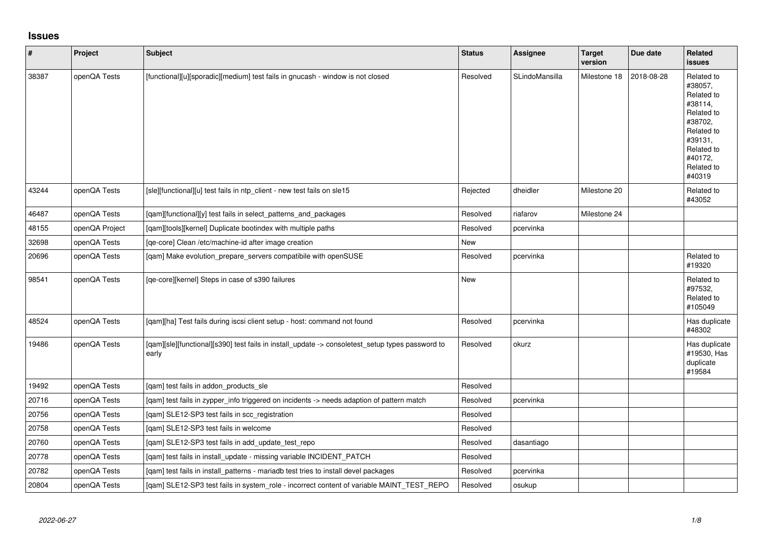## **Issues**

| $\vert$ # | Project        | <b>Subject</b>                                                                                            | <b>Status</b> | Assignee       | <b>Target</b><br>version | Due date   | Related<br><b>issues</b>                                                                                                                          |
|-----------|----------------|-----------------------------------------------------------------------------------------------------------|---------------|----------------|--------------------------|------------|---------------------------------------------------------------------------------------------------------------------------------------------------|
| 38387     | openQA Tests   | [functional][u][sporadic][medium] test fails in gnucash - window is not closed                            | Resolved      | SLindoMansilla | Milestone 18             | 2018-08-28 | Related to<br>#38057.<br>Related to<br>#38114,<br>Related to<br>#38702,<br>Related to<br>#39131,<br>Related to<br>#40172,<br>Related to<br>#40319 |
| 43244     | openQA Tests   | [sle][functional][u] test fails in ntp_client - new test fails on sle15                                   | Rejected      | dheidler       | Milestone 20             |            | Related to<br>#43052                                                                                                                              |
| 46487     | openQA Tests   | [qam][functional][y] test fails in select_patterns_and_packages                                           | Resolved      | riafarov       | Milestone 24             |            |                                                                                                                                                   |
| 48155     | openQA Project | [gam][tools][kernel] Duplicate bootindex with multiple paths                                              | Resolved      | pcervinka      |                          |            |                                                                                                                                                   |
| 32698     | openQA Tests   | [qe-core] Clean /etc/machine-id after image creation                                                      | New           |                |                          |            |                                                                                                                                                   |
| 20696     | openQA Tests   | [qam] Make evolution_prepare_servers compatibile with openSUSE                                            | Resolved      | pcervinka      |                          |            | Related to<br>#19320                                                                                                                              |
| 98541     | openQA Tests   | [qe-core][kernel] Steps in case of s390 failures                                                          | New           |                |                          |            | Related to<br>#97532,<br>Related to<br>#105049                                                                                                    |
| 48524     | openQA Tests   | [qam][ha] Test fails during iscsi client setup - host: command not found                                  | Resolved      | pcervinka      |                          |            | Has duplicate<br>#48302                                                                                                                           |
| 19486     | openQA Tests   | [gam][sle][functional][s390] test fails in install_update -> consoletest_setup types password to<br>early | Resolved      | okurz          |                          |            | Has duplicate<br>#19530, Has<br>duplicate<br>#19584                                                                                               |
| 19492     | openQA Tests   | [qam] test fails in addon_products_sle                                                                    | Resolved      |                |                          |            |                                                                                                                                                   |
| 20716     | openQA Tests   | [qam] test fails in zypper_info triggered on incidents -> needs adaption of pattern match                 | Resolved      | pcervinka      |                          |            |                                                                                                                                                   |
| 20756     | openQA Tests   | [qam] SLE12-SP3 test fails in scc_registration                                                            | Resolved      |                |                          |            |                                                                                                                                                   |
| 20758     | openQA Tests   | [qam] SLE12-SP3 test fails in welcome                                                                     | Resolved      |                |                          |            |                                                                                                                                                   |
| 20760     | openQA Tests   | [qam] SLE12-SP3 test fails in add_update_test_repo                                                        | Resolved      | dasantiago     |                          |            |                                                                                                                                                   |
| 20778     | openQA Tests   | [qam] test fails in install_update - missing variable INCIDENT_PATCH                                      | Resolved      |                |                          |            |                                                                                                                                                   |
| 20782     | openQA Tests   | [qam] test fails in install_patterns - mariadb test tries to install devel packages                       | Resolved      | pcervinka      |                          |            |                                                                                                                                                   |
| 20804     | openQA Tests   | [qam] SLE12-SP3 test fails in system_role - incorrect content of variable MAINT_TEST_REPO                 | Resolved      | osukup         |                          |            |                                                                                                                                                   |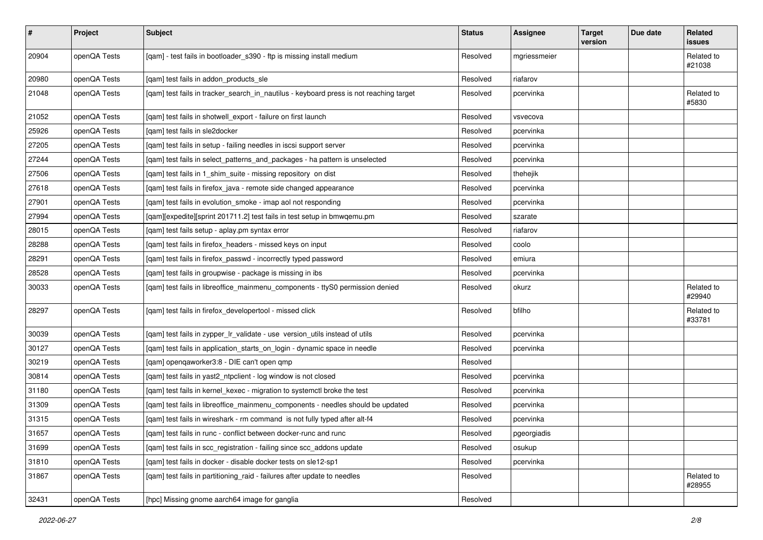| $\vert$ # | Project      | <b>Subject</b>                                                                         | <b>Status</b> | <b>Assignee</b> | <b>Target</b><br>version | Due date | Related<br><b>issues</b> |
|-----------|--------------|----------------------------------------------------------------------------------------|---------------|-----------------|--------------------------|----------|--------------------------|
| 20904     | openQA Tests | [qam] - test fails in bootloader_s390 - ftp is missing install medium                  | Resolved      | mgriessmeier    |                          |          | Related to<br>#21038     |
| 20980     | openQA Tests | [qam] test fails in addon_products_sle                                                 | Resolved      | riafarov        |                          |          |                          |
| 21048     | openQA Tests | [qam] test fails in tracker_search_in_nautilus - keyboard press is not reaching target | Resolved      | pcervinka       |                          |          | Related to<br>#5830      |
| 21052     | openQA Tests | [qam] test fails in shotwell_export - failure on first launch                          | Resolved      | vsvecova        |                          |          |                          |
| 25926     | openQA Tests | [qam] test fails in sle2docker                                                         | Resolved      | pcervinka       |                          |          |                          |
| 27205     | openQA Tests | [qam] test fails in setup - failing needles in iscsi support server                    | Resolved      | pcervinka       |                          |          |                          |
| 27244     | openQA Tests | [qam] test fails in select_patterns_and_packages - ha pattern is unselected            | Resolved      | pcervinka       |                          |          |                          |
| 27506     | openQA Tests | [gam] test fails in 1 shim suite - missing repository on dist                          | Resolved      | thehejik        |                          |          |                          |
| 27618     | openQA Tests | [qam] test fails in firefox_java - remote side changed appearance                      | Resolved      | pcervinka       |                          |          |                          |
| 27901     | openQA Tests | [qam] test fails in evolution_smoke - imap aol not responding                          | Resolved      | pcervinka       |                          |          |                          |
| 27994     | openQA Tests | [qam][expedite][sprint 201711.2] test fails in test setup in bmwqemu.pm                | Resolved      | szarate         |                          |          |                          |
| 28015     | openQA Tests | [qam] test fails setup - aplay.pm syntax error                                         | Resolved      | riafarov        |                          |          |                          |
| 28288     | openQA Tests | [qam] test fails in firefox_headers - missed keys on input                             | Resolved      | coolo           |                          |          |                          |
| 28291     | openQA Tests | [qam] test fails in firefox_passwd - incorrectly typed password                        | Resolved      | emiura          |                          |          |                          |
| 28528     | openQA Tests | [qam] test fails in groupwise - package is missing in ibs                              | Resolved      | pcervinka       |                          |          |                          |
| 30033     | openQA Tests | [qam] test fails in libreoffice_mainmenu_components - ttyS0 permission denied          | Resolved      | okurz           |                          |          | Related to<br>#29940     |
| 28297     | openQA Tests | [qam] test fails in firefox_developertool - missed click                               | Resolved      | bfilho          |                          |          | Related to<br>#33781     |
| 30039     | openQA Tests | [qam] test fails in zypper_lr_validate - use version_utils instead of utils            | Resolved      | pcervinka       |                          |          |                          |
| 30127     | openQA Tests | [qam] test fails in application_starts_on_login - dynamic space in needle              | Resolved      | pcervinka       |                          |          |                          |
| 30219     | openQA Tests | [qam] openqaworker3:8 - DIE can't open qmp                                             | Resolved      |                 |                          |          |                          |
| 30814     | openQA Tests | [qam] test fails in yast2_ntpclient - log window is not closed                         | Resolved      | pcervinka       |                          |          |                          |
| 31180     | openQA Tests | [qam] test fails in kernel_kexec - migration to systemctl broke the test               | Resolved      | pcervinka       |                          |          |                          |
| 31309     | openQA Tests | [qam] test fails in libreoffice_mainmenu_components - needles should be updated        | Resolved      | pcervinka       |                          |          |                          |
| 31315     | openQA Tests | [qam] test fails in wireshark - rm command is not fully typed after alt-f4             | Resolved      | pcervinka       |                          |          |                          |
| 31657     | openQA Tests | [qam] test fails in runc - conflict between docker-runc and runc                       | Resolved      | pgeorgiadis     |                          |          |                          |
| 31699     | openQA Tests | [gam] test fails in scc registration - failing since scc addons update                 | Resolved      | osukup          |                          |          |                          |
| 31810     | openQA Tests | [qam] test fails in docker - disable docker tests on sle12-sp1                         | Resolved      | pcervinka       |                          |          |                          |
| 31867     | openQA Tests | [qam] test fails in partitioning_raid - failures after update to needles               | Resolved      |                 |                          |          | Related to<br>#28955     |
| 32431     | openQA Tests | [hpc] Missing gnome aarch64 image for ganglia                                          | Resolved      |                 |                          |          |                          |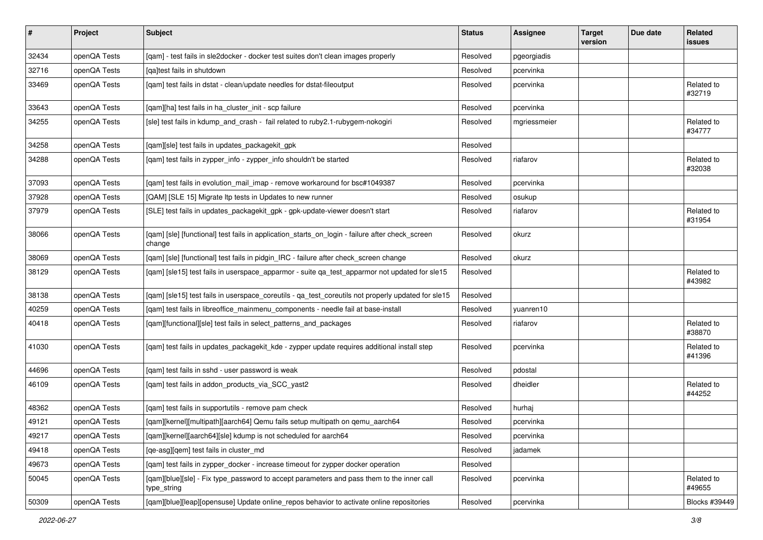| $\vert$ # | Project      | <b>Subject</b>                                                                                            | <b>Status</b> | <b>Assignee</b> | <b>Target</b><br>version | Due date | Related<br>issues    |
|-----------|--------------|-----------------------------------------------------------------------------------------------------------|---------------|-----------------|--------------------------|----------|----------------------|
| 32434     | openQA Tests | [qam] - test fails in sle2docker - docker test suites don't clean images properly                         | Resolved      | pgeorgiadis     |                          |          |                      |
| 32716     | openQA Tests | [ga]test fails in shutdown                                                                                | Resolved      | pcervinka       |                          |          |                      |
| 33469     | openQA Tests | [qam] test fails in dstat - clean/update needles for dstat-fileoutput                                     | Resolved      | pcervinka       |                          |          | Related to<br>#32719 |
| 33643     | openQA Tests | [qam][ha] test fails in ha_cluster_init - scp failure                                                     | Resolved      | pcervinka       |                          |          |                      |
| 34255     | openQA Tests | [sle] test fails in kdump_and_crash - fail related to ruby2.1-rubygem-nokogiri                            | Resolved      | mgriessmeier    |                          |          | Related to<br>#34777 |
| 34258     | openQA Tests | [qam][sle] test fails in updates_packagekit_gpk                                                           | Resolved      |                 |                          |          |                      |
| 34288     | openQA Tests | [qam] test fails in zypper_info - zypper_info shouldn't be started                                        | Resolved      | riafarov        |                          |          | Related to<br>#32038 |
| 37093     | openQA Tests | [qam] test fails in evolution_mail_imap - remove workaround for bsc#1049387                               | Resolved      | pcervinka       |                          |          |                      |
| 37928     | openQA Tests | [QAM] [SLE 15] Migrate Itp tests in Updates to new runner                                                 | Resolved      | osukup          |                          |          |                      |
| 37979     | openQA Tests | [SLE] test fails in updates_packagekit_gpk - gpk-update-viewer doesn't start                              | Resolved      | riafarov        |                          |          | Related to<br>#31954 |
| 38066     | openQA Tests | [qam] [sle] [functional] test fails in application_starts_on_login - failure after check_screen<br>change | Resolved      | okurz           |                          |          |                      |
| 38069     | openQA Tests | [qam] [sle] [functional] test fails in pidgin_IRC - failure after check_screen change                     | Resolved      | okurz           |                          |          |                      |
| 38129     | openQA Tests | [qam] [sle15] test fails in userspace_apparmor - suite qa_test_apparmor not updated for sle15             | Resolved      |                 |                          |          | Related to<br>#43982 |
| 38138     | openQA Tests | [qam] [sle15] test fails in userspace_coreutils - qa_test_coreutils not properly updated for sle15        | Resolved      |                 |                          |          |                      |
| 40259     | openQA Tests | [qam] test fails in libreoffice_mainmenu_components - needle fail at base-install                         | Resolved      | yuanren10       |                          |          |                      |
| 40418     | openQA Tests | [qam][functional][sle] test fails in select_patterns_and_packages                                         | Resolved      | riafarov        |                          |          | Related to<br>#38870 |
| 41030     | openQA Tests | [qam] test fails in updates_packagekit_kde - zypper update requires additional install step               | Resolved      | pcervinka       |                          |          | Related to<br>#41396 |
| 44696     | openQA Tests | [qam] test fails in sshd - user password is weak                                                          | Resolved      | pdostal         |                          |          |                      |
| 46109     | openQA Tests | [qam] test fails in addon_products_via_SCC_yast2                                                          | Resolved      | dheidler        |                          |          | Related to<br>#44252 |
| 48362     | openQA Tests | [qam] test fails in supportutils - remove pam check                                                       | Resolved      | hurhaj          |                          |          |                      |
| 49121     | openQA Tests | [qam][kernel][multipath][aarch64] Qemu fails setup multipath on qemu_aarch64                              | Resolved      | pcervinka       |                          |          |                      |
| 49217     | openQA Tests | [qam][kernel][aarch64][sle] kdump is not scheduled for aarch64                                            | Resolved      | pcervinka       |                          |          |                      |
| 49418     | openQA Tests | [ge-asg][gem] test fails in cluster md                                                                    | Resolved      | jadamek         |                          |          |                      |
| 49673     | openQA Tests | [qam] test fails in zypper_docker - increase timeout for zypper docker operation                          | Resolved      |                 |                          |          |                      |
| 50045     | openQA Tests | [gam][blue][sle] - Fix type password to accept parameters and pass them to the inner call<br>type_string  | Resolved      | pcervinka       |                          |          | Related to<br>#49655 |
| 50309     | openQA Tests | [qam][blue][leap][opensuse] Update online_repos behavior to activate online repositories                  | Resolved      | pcervinka       |                          |          | Blocks #39449        |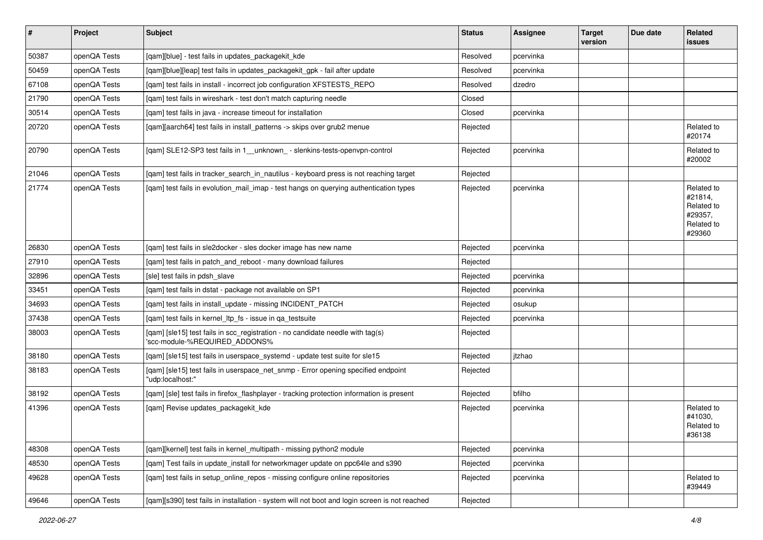| $\vert$ # | Project      | <b>Subject</b>                                                                                                  | <b>Status</b> | <b>Assignee</b> | <b>Target</b><br>version | Due date | <b>Related</b><br>issues                                               |
|-----------|--------------|-----------------------------------------------------------------------------------------------------------------|---------------|-----------------|--------------------------|----------|------------------------------------------------------------------------|
| 50387     | openQA Tests | [qam][blue] - test fails in updates_packagekit_kde                                                              | Resolved      | pcervinka       |                          |          |                                                                        |
| 50459     | openQA Tests | [gam][blue][leap] test fails in updates packagekit gpk - fail after update                                      | Resolved      | pcervinka       |                          |          |                                                                        |
| 67108     | openQA Tests | [gam] test fails in install - incorrect job configuration XFSTESTS REPO                                         | Resolved      | dzedro          |                          |          |                                                                        |
| 21790     | openQA Tests | [qam] test fails in wireshark - test don't match capturing needle                                               | Closed        |                 |                          |          |                                                                        |
| 30514     | openQA Tests | [gam] test fails in java - increase timeout for installation                                                    | Closed        | pcervinka       |                          |          |                                                                        |
| 20720     | openQA Tests | [qam][aarch64] test fails in install_patterns -> skips over grub2 menue                                         | Rejected      |                 |                          |          | Related to<br>#20174                                                   |
| 20790     | openQA Tests | [qam] SLE12-SP3 test fails in 1__unknown_ - slenkins-tests-openvpn-control                                      | Rejected      | pcervinka       |                          |          | Related to<br>#20002                                                   |
| 21046     | openQA Tests | [qam] test fails in tracker_search_in_nautilus - keyboard press is not reaching target                          | Rejected      |                 |                          |          |                                                                        |
| 21774     | openQA Tests | [qam] test fails in evolution_mail_imap - test hangs on querying authentication types                           | Rejected      | pcervinka       |                          |          | Related to<br>#21814,<br>Related to<br>#29357,<br>Related to<br>#29360 |
| 26830     | openQA Tests | [gam] test fails in sle2docker - sles docker image has new name                                                 | Rejected      | pcervinka       |                          |          |                                                                        |
| 27910     | openQA Tests | [qam] test fails in patch_and_reboot - many download failures                                                   | Rejected      |                 |                          |          |                                                                        |
| 32896     | openQA Tests | [sle] test fails in pdsh slave                                                                                  | Rejected      | pcervinka       |                          |          |                                                                        |
| 33451     | openQA Tests | [qam] test fails in dstat - package not available on SP1                                                        | Rejected      | pcervinka       |                          |          |                                                                        |
| 34693     | openQA Tests | [qam] test fails in install_update - missing INCIDENT_PATCH                                                     | Rejected      | osukup          |                          |          |                                                                        |
| 37438     | openQA Tests | [qam] test fails in kernel_ltp_fs - issue in qa_testsuite                                                       | Rejected      | pcervinka       |                          |          |                                                                        |
| 38003     | openQA Tests | [qam] [sle15] test fails in scc_registration - no candidate needle with tag(s)<br>'scc-module-%REQUIRED ADDONS% | Rejected      |                 |                          |          |                                                                        |
| 38180     | openQA Tests | [qam] [sle15] test fails in userspace_systemd - update test suite for sle15                                     | Rejected      | jtzhao          |                          |          |                                                                        |
| 38183     | openQA Tests | [qam] [sle15] test fails in userspace_net_snmp - Error opening specified endpoint<br>"udp:localhost:"           | Rejected      |                 |                          |          |                                                                        |
| 38192     | openQA Tests | [qam] [sle] test fails in firefox_flashplayer - tracking protection information is present                      | Rejected      | bfilho          |                          |          |                                                                        |
| 41396     | openQA Tests | [qam] Revise updates_packagekit_kde                                                                             | Rejected      | pcervinka       |                          |          | Related to<br>#41030,<br>Related to<br>#36138                          |
| 48308     | openQA Tests | [qam][kernel] test fails in kernel_multipath - missing python2 module                                           | Rejected      | pcervinka       |                          |          |                                                                        |
| 48530     | openQA Tests | [gam] Test fails in update install for networkmager update on ppc64le and s390                                  | Rejected      | pcervinka       |                          |          |                                                                        |
| 49628     | openQA Tests | [qam] test fails in setup_online_repos - missing configure online repositories                                  | Rejected      | pcervinka       |                          |          | Related to<br>#39449                                                   |
| 49646     | openQA Tests | [qam][s390] test fails in installation - system will not boot and login screen is not reached                   | Rejected      |                 |                          |          |                                                                        |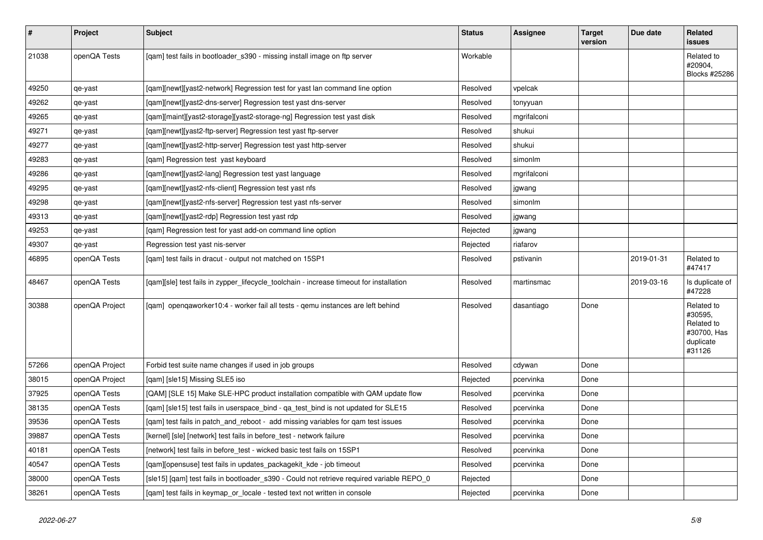| $\vert$ # | <b>Project</b> | <b>Subject</b>                                                                            | <b>Status</b> | Assignee    | <b>Target</b><br>version | Due date   | Related<br><b>issues</b>                                                  |
|-----------|----------------|-------------------------------------------------------------------------------------------|---------------|-------------|--------------------------|------------|---------------------------------------------------------------------------|
| 21038     | openQA Tests   | [qam] test fails in bootloader_s390 - missing install image on ftp server                 | Workable      |             |                          |            | Related to<br>#20904,<br>Blocks #25286                                    |
| 49250     | qe-yast        | [gam][newt][yast2-network] Regression test for yast lan command line option               | Resolved      | vpelcak     |                          |            |                                                                           |
| 49262     | qe-yast        | [qam][newt][yast2-dns-server] Regression test yast dns-server                             | Resolved      | tonyyuan    |                          |            |                                                                           |
| 49265     | qe-yast        | [qam][maint][yast2-storage][yast2-storage-ng] Regression test yast disk                   | Resolved      | mgrifalconi |                          |            |                                                                           |
| 49271     | qe-yast        | [qam][newt][yast2-ftp-server] Regression test yast ftp-server                             | Resolved      | shukui      |                          |            |                                                                           |
| 49277     | qe-yast        | [qam][newt][yast2-http-server] Regression test yast http-server                           | Resolved      | shukui      |                          |            |                                                                           |
| 49283     | qe-yast        | [qam] Regression test yast keyboard                                                       | Resolved      | simonlm     |                          |            |                                                                           |
| 49286     | qe-yast        | [gam][newt][yast2-lang] Regression test yast language                                     | Resolved      | mgrifalconi |                          |            |                                                                           |
| 49295     | qe-yast        | [qam][newt][yast2-nfs-client] Regression test yast nfs                                    | Resolved      | jgwang      |                          |            |                                                                           |
| 49298     | qe-yast        | [qam][newt][yast2-nfs-server] Regression test yast nfs-server                             | Resolved      | simonlm     |                          |            |                                                                           |
| 49313     | qe-yast        | [qam][newt][yast2-rdp] Regression test yast rdp                                           | Resolved      | jgwang      |                          |            |                                                                           |
| 49253     | qe-yast        | [qam] Regression test for yast add-on command line option                                 | Rejected      | jgwang      |                          |            |                                                                           |
| 49307     | qe-yast        | Regression test yast nis-server                                                           | Rejected      | riafarov    |                          |            |                                                                           |
| 46895     | openQA Tests   | [qam] test fails in dracut - output not matched on 15SP1                                  | Resolved      | pstivanin   |                          | 2019-01-31 | Related to<br>#47417                                                      |
| 48467     | openQA Tests   | [gam][sle] test fails in zypper lifecycle toolchain - increase timeout for installation   | Resolved      | martinsmac  |                          | 2019-03-16 | Is duplicate of<br>#47228                                                 |
| 30388     | openQA Project | [qam] openqaworker10:4 - worker fail all tests - qemu instances are left behind           | Resolved      | dasantiago  | Done                     |            | Related to<br>#30595,<br>Related to<br>#30700, Has<br>duplicate<br>#31126 |
| 57266     | openQA Project | Forbid test suite name changes if used in job groups                                      | Resolved      | cdywan      | Done                     |            |                                                                           |
| 38015     | openQA Project | [gam] [sle15] Missing SLE5 iso                                                            | Rejected      | pcervinka   | Done                     |            |                                                                           |
| 37925     | openQA Tests   | [QAM] [SLE 15] Make SLE-HPC product installation compatible with QAM update flow          | Resolved      | pcervinka   | Done                     |            |                                                                           |
| 38135     | openQA Tests   | [qam] [sle15] test fails in userspace_bind - qa_test_bind is not updated for SLE15        | Resolved      | pcervinka   | Done                     |            |                                                                           |
| 39536     | openQA Tests   | [qam] test fails in patch_and_reboot - add missing variables for qam test issues          | Resolved      | pcervinka   | Done                     |            |                                                                           |
| 39887     | openQA Tests   | [kernel] [sle] [network] test fails in before_test - network failure                      | Resolved      | pcervinka   | Done                     |            |                                                                           |
| 40181     | openQA Tests   | [network] test fails in before_test - wicked basic test fails on 15SP1                    | Resolved      | pcervinka   | Done                     |            |                                                                           |
| 40547     | openQA Tests   | [qam][opensuse] test fails in updates_packagekit_kde - job timeout                        | Resolved      | pcervinka   | Done                     |            |                                                                           |
| 38000     | openQA Tests   | [sle15] [gam] test fails in bootloader s390 - Could not retrieve required variable REPO 0 | Rejected      |             | Done                     |            |                                                                           |
| 38261     | openQA Tests   | [gam] test fails in keymap or locale - tested text not written in console                 | Rejected      | pcervinka   | Done                     |            |                                                                           |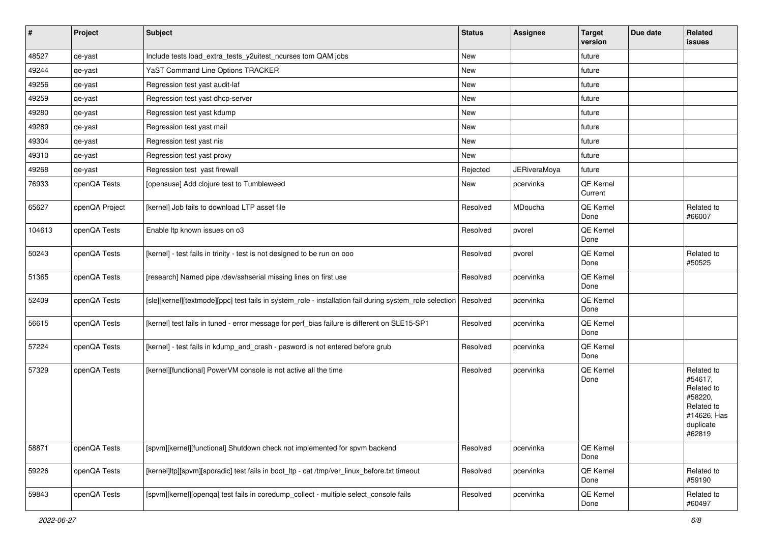| $\vert$ # | Project        | <b>Subject</b>                                                                                          | <b>Status</b> | Assignee            | <b>Target</b><br>version | Due date | Related<br>issues                                                                                  |
|-----------|----------------|---------------------------------------------------------------------------------------------------------|---------------|---------------------|--------------------------|----------|----------------------------------------------------------------------------------------------------|
| 48527     | qe-yast        | Include tests load_extra_tests_y2uitest_ncurses tom QAM jobs                                            | New           |                     | future                   |          |                                                                                                    |
| 49244     | qe-yast        | YaST Command Line Options TRACKER                                                                       | New           |                     | future                   |          |                                                                                                    |
| 49256     | qe-yast        | Regression test yast audit-laf                                                                          | New           |                     | future                   |          |                                                                                                    |
| 49259     | qe-yast        | Regression test yast dhcp-server                                                                        | New           |                     | future                   |          |                                                                                                    |
| 49280     | qe-yast        | Regression test yast kdump                                                                              | New           |                     | future                   |          |                                                                                                    |
| 49289     | qe-yast        | Regression test yast mail                                                                               | New           |                     | future                   |          |                                                                                                    |
| 49304     | qe-yast        | Regression test yast nis                                                                                | New           |                     | future                   |          |                                                                                                    |
| 49310     | qe-yast        | Regression test yast proxy                                                                              | New           |                     | future                   |          |                                                                                                    |
| 49268     | qe-yast        | Regression test yast firewall                                                                           | Rejected      | <b>JERiveraMoya</b> | future                   |          |                                                                                                    |
| 76933     | openQA Tests   | [opensuse] Add clojure test to Tumbleweed                                                               | New           | pcervinka           | QE Kernel<br>Current     |          |                                                                                                    |
| 65627     | openQA Project | [kernel] Job fails to download LTP asset file                                                           | Resolved      | MDoucha             | QE Kernel<br>Done        |          | Related to<br>#66007                                                                               |
| 104613    | openQA Tests   | Enable Itp known issues on o3                                                                           | Resolved      | pvorel              | QE Kernel<br>Done        |          |                                                                                                    |
| 50243     | openQA Tests   | [kernel] - test fails in trinity - test is not designed to be run on ooo                                | Resolved      | pvorel              | QE Kernel<br>Done        |          | Related to<br>#50525                                                                               |
| 51365     | openQA Tests   | [research] Named pipe /dev/sshserial missing lines on first use                                         | Resolved      | pcervinka           | QE Kernel<br>Done        |          |                                                                                                    |
| 52409     | openQA Tests   | [sle][kernel][textmode][ppc] test fails in system_role - installation fail during system_role selection | Resolved      | pcervinka           | QE Kernel<br>Done        |          |                                                                                                    |
| 56615     | openQA Tests   | [kernel] test fails in tuned - error message for perf_bias failure is different on SLE15-SP1            | Resolved      | pcervinka           | QE Kernel<br>Done        |          |                                                                                                    |
| 57224     | openQA Tests   | [kernel] - test fails in kdump_and_crash - pasword is not entered before grub                           | Resolved      | pcervinka           | QE Kernel<br>Done        |          |                                                                                                    |
| 57329     | openQA Tests   | [kernel][functional] PowerVM console is not active all the time                                         | Resolved      | pcervinka           | QE Kernel<br>Done        |          | Related to<br>#54617,<br>Related to<br>#58220,<br>Related to<br>#14626, Has<br>duplicate<br>#62819 |
| 58871     | openQA Tests   | [spvm][kernel][functional] Shutdown check not implemented for spvm backend                              | Resolved      | pcervinka           | QE Kernel<br>Done        |          |                                                                                                    |
| 59226     | openQA Tests   | [kernel]ltp][spvm][sporadic] test fails in boot_ltp - cat /tmp/ver_linux_before.txt timeout             | Resolved      | pcervinka           | QE Kernel<br>Done        |          | Related to<br>#59190                                                                               |
| 59843     | openQA Tests   | [spvm][kernel][openqa] test fails in coredump_collect - multiple select_console fails                   | Resolved      | pcervinka           | QE Kernel<br>Done        |          | Related to<br>#60497                                                                               |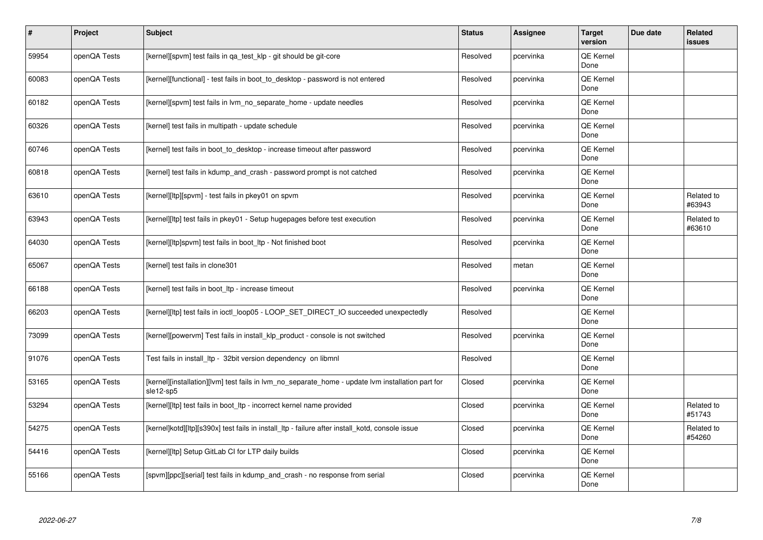| #     | Project      | <b>Subject</b>                                                                                                 | <b>Status</b> | <b>Assignee</b> | <b>Target</b><br>version | Due date | <b>Related</b><br><b>issues</b> |
|-------|--------------|----------------------------------------------------------------------------------------------------------------|---------------|-----------------|--------------------------|----------|---------------------------------|
| 59954 | openQA Tests | [kernel][spvm] test fails in qa_test_klp - git should be git-core                                              | Resolved      | pcervinka       | <b>QE Kernel</b><br>Done |          |                                 |
| 60083 | openQA Tests | [kernel][functional] - test fails in boot to desktop - password is not entered                                 | Resolved      | pcervinka       | <b>QE Kernel</b><br>Done |          |                                 |
| 60182 | openQA Tests | [kernel][spvm] test fails in lvm no separate home - update needles                                             | Resolved      | pcervinka       | QE Kernel<br>Done        |          |                                 |
| 60326 | openQA Tests | [kernel] test fails in multipath - update schedule                                                             | Resolved      | pcervinka       | <b>QE Kernel</b><br>Done |          |                                 |
| 60746 | openQA Tests | [kernel] test fails in boot to desktop - increase timeout after password                                       | Resolved      | pcervinka       | <b>QE Kernel</b><br>Done |          |                                 |
| 60818 | openQA Tests | [kernel] test fails in kdump_and_crash - password prompt is not catched                                        | Resolved      | pcervinka       | QE Kernel<br>Done        |          |                                 |
| 63610 | openQA Tests | [kernel][ltp][spvm] - test fails in pkey01 on spvm                                                             | Resolved      | pcervinka       | QE Kernel<br>Done        |          | Related to<br>#63943            |
| 63943 | openQA Tests | [kernel][ltp] test fails in pkey01 - Setup hugepages before test execution                                     | Resolved      | pcervinka       | QE Kernel<br>Done        |          | Related to<br>#63610            |
| 64030 | openQA Tests | [kernel][ltp]spvm] test fails in boot Itp - Not finished boot                                                  | Resolved      | pcervinka       | QE Kernel<br>Done        |          |                                 |
| 65067 | openQA Tests | [kernel] test fails in clone301                                                                                | Resolved      | metan           | <b>QE Kernel</b><br>Done |          |                                 |
| 66188 | openQA Tests | [kernel] test fails in boot Itp - increase timeout                                                             | Resolved      | pcervinka       | QE Kernel<br>Done        |          |                                 |
| 66203 | openQA Tests | [kernel][ltp] test fails in ioctl_loop05 - LOOP_SET_DIRECT_IO succeeded unexpectedly                           | Resolved      |                 | <b>QE Kernel</b><br>Done |          |                                 |
| 73099 | openQA Tests | [kernel][powervm] Test fails in install klp product - console is not switched                                  | Resolved      | pcervinka       | <b>QE Kernel</b><br>Done |          |                                 |
| 91076 | openQA Tests | Test fails in install_ltp - 32bit version dependency on libmnl                                                 | Resolved      |                 | <b>QE Kernel</b><br>Done |          |                                 |
| 53165 | openQA Tests | [kernel][installation][lvm] test fails in lvm no separate home - update lvm installation part for<br>sle12-sp5 | Closed        | pcervinka       | QE Kernel<br>Done        |          |                                 |
| 53294 | openQA Tests | [kernel][ltp] test fails in boot_ltp - incorrect kernel name provided                                          | Closed        | pcervinka       | <b>QE Kernel</b><br>Done |          | Related to<br>#51743            |
| 54275 | openQA Tests | [kernel]kotd][ltp][s390x] test fails in install ltp - failure after install kotd, console issue                | Closed        | pcervinka       | QE Kernel<br>Done        |          | Related to<br>#54260            |
| 54416 | openQA Tests | [kernel][ltp] Setup GitLab CI for LTP daily builds                                                             | Closed        | pcervinka       | <b>QE Kernel</b><br>Done |          |                                 |
| 55166 | openQA Tests | [spvm][ppc][serial] test fails in kdump and crash - no response from serial                                    | Closed        | pcervinka       | QE Kernel<br>Done        |          |                                 |